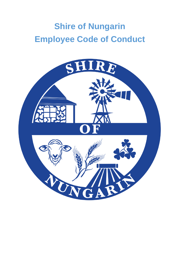# **Shire of Nungarin Employee Code of Conduct**

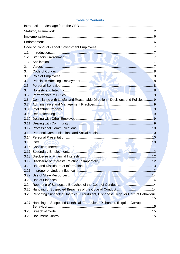# **Table of Contents**

| 1.1  |                                                                                         |  |  |  |  |  |
|------|-----------------------------------------------------------------------------------------|--|--|--|--|--|
| 1.2  |                                                                                         |  |  |  |  |  |
| 1.3  |                                                                                         |  |  |  |  |  |
| 2.   |                                                                                         |  |  |  |  |  |
| 3.   |                                                                                         |  |  |  |  |  |
| 3.1  |                                                                                         |  |  |  |  |  |
| 3.2  |                                                                                         |  |  |  |  |  |
| 3.3  |                                                                                         |  |  |  |  |  |
| 3.4  |                                                                                         |  |  |  |  |  |
| 3.5  |                                                                                         |  |  |  |  |  |
| 3.6  | Compliance with Lawful and Reasonable Directions, Decisions and Policies 9              |  |  |  |  |  |
| 3.7  |                                                                                         |  |  |  |  |  |
| 3.8  |                                                                                         |  |  |  |  |  |
| 3.9  |                                                                                         |  |  |  |  |  |
| 3.10 |                                                                                         |  |  |  |  |  |
| 3.11 |                                                                                         |  |  |  |  |  |
|      |                                                                                         |  |  |  |  |  |
|      |                                                                                         |  |  |  |  |  |
|      |                                                                                         |  |  |  |  |  |
|      |                                                                                         |  |  |  |  |  |
|      | 3.16 Conflict of Interest. 2008. The contract of the contract of Interest. 2008.        |  |  |  |  |  |
|      |                                                                                         |  |  |  |  |  |
|      |                                                                                         |  |  |  |  |  |
|      |                                                                                         |  |  |  |  |  |
|      |                                                                                         |  |  |  |  |  |
| 3.21 |                                                                                         |  |  |  |  |  |
|      |                                                                                         |  |  |  |  |  |
|      |                                                                                         |  |  |  |  |  |
|      |                                                                                         |  |  |  |  |  |
|      |                                                                                         |  |  |  |  |  |
|      | 3.26 Reporting Suspected Unethical, Fraudulent, Dishonest, Illegal or Corrupt Behaviour |  |  |  |  |  |
|      |                                                                                         |  |  |  |  |  |
|      | 3.27 Handling of Suspected Unethical, Fraudulent, Dishonest, Illegal or Corrupt         |  |  |  |  |  |
|      |                                                                                         |  |  |  |  |  |
|      |                                                                                         |  |  |  |  |  |
|      |                                                                                         |  |  |  |  |  |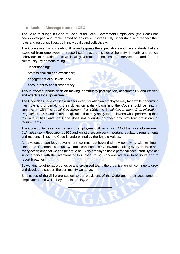#### <span id="page-2-0"></span>**Introduction - Message from the CEO**

The Shire of Nungarin Code of Conduct for Local Government Employees, (the Code) has been developed and implemented to ensure employees fully understand and respect their roles and responsibilities, both individually and collectively.

The Code's intent is to clearly outline and express the expectations and the standards that are expected from employees to support such basic principles of honesty, integrity and ethical behaviour to provide effective local government functions and services to and for our community, by demonstrating:

- understanding:
- professionalism and excellence;
- engagement at all levels; and
- accountability and transparency.

This in effect supports decision-making, community participation, accountability and efficient and effective local government

The Code does not establish a rule for every situation an employee may face while performing their role and undertaking their duties on a daily basis and the Code should be read in conjunction with the *Local Government Act 1995*, the *Local Government (Administration) Regulations 1996* and all other legislation that may apply to employees while performing their role and duties, and the Code does not override or affect any statutory provisions or requirements.

The Code contains certain matters for employees outlined in Part 4A of the *Local Government (Administration) Regulations 1996* and whilst there are very important regulatory requirements and responsibilities, the Code is underpinned by the Shire's Values.

As a values-driven local government we must go beyond simply complying with minimum standards of personal conduct. We must continue to strive towards making every decision and every action one that we can be proud of. Every employee has a personal accountability to act in accordance with the intentions of this Code, to not condone adverse behaviours and to report breaches.

By working together as a cohesive and organised team, the organisation will continue to grow and develop to support the community we serve.

Employees of the Shire are subject to the provisions of the Code upon their acceptance of employment and while they remain employed.

 $\overline{\phantom{a}}$ 

W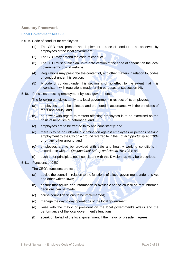# <span id="page-3-0"></span>**Statutory Framework**

# **Local Government Act 1995**

- 5.51A. Code of conduct for employees
	- (1) The CEO must prepare and implement a code of conduct to be observed by employees of the local government.
	- (2) The CEO may amend the code of conduct.
	- (3) The CEO must publish an up-to-date version of the code of conduct on the local government's official website.
	- (4) Regulations may prescribe the content of, and other matters in relation to, codes of conduct under this section.
	- (5) A code of conduct under this section is of no effect to the extent that it is inconsistent with regulations made for the purposes of subsection (4).
- 5.40. Principles affecting employment by local governments

The following principles apply to a local government in respect of its employees —

- (a) employees are to be selected and promoted in accordance with the principles of merit and equity; and
- (b) no power with regard to matters affecting employees is to be exercised on the basis of nepotism or patronage; and
- (c) employees are to be treated fairly and consistently; and
- (d) there is to be no unlawful discrimination against employees or persons seeking employment by the City on a ground referred to in the *Equal Opportunity Act 1984* or on any other ground; and
- (e) employees are to be provided with safe and healthy working conditions in accordance with the *Occupational Safety and Health Act 1984*; and
- (f) such other principles, not inconsistent with this Division, as may be prescribed.

# 5.41. Functions of CEO

The CEO's functions are to:

- (a) advise the council in relation to the functions of a local government under this Act and other written laws;
- (b) ensure that advice and information is available to the council so that informed decisions can be made;
- (c) cause council decisions to be implemented;
- (d) manage the day to day operations of the local government;
- (e) liaise with the mayor or president on the local government's affairs and the performance of the local government's functions;
- (f) speak on behalf of the local government if the mayor or president agrees;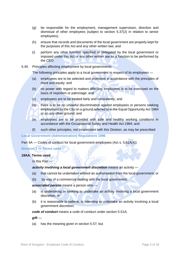- (g) be responsible for the employment, management supervision, direction and dismissal of other employees (subject to section 5.37(2) in relation to senior employees);
- (h) ensure that records and documents of the local government are properly kept for the purposes of this Act and any other written law; and
- (i) perform any other function specified or delegated by the local government or imposed under this Act or any other written law as a function to be performed by the CEO.
- 5.40. Principles affecting employment by local governments

The following principles apply to a local government in respect of its employees —

- (a) employees are to be selected and promoted in accordance with the principles of merit and equity; and
- (b) no power with regard to matters affecting employees is to be exercised on the basis of nepotism or patronage; and
- (c) employees are to be treated fairly and consistently; and
- (d) there is to be no unlawful discrimination against employees or persons seeking employment by the City on a ground referred to in the Equal Opportunity Act 1984 or on any other ground; and
- (e) employees are to be provided with safe and healthy working conditions in accordance with the Occupational Safety and Health Act 1984; and
- (f) such other principles, not inconsistent with this Division, as may be prescribed

#### **Local Government (Administration) Regulations 1996**

Part 4A — Codes of conduct for local government employees (Act s. 5.51A(4))

# **Division 1 — Terms used**

# **19AA. Terms used**

In this Part —

# **activity involving a local government discretion** means an activity —

- (a) that cannot be undertaken without an authorisation from the local government; or
- (b) by way of a commercial dealing with the local government;

#### *associated person* means a person who —

- (a) is undertaking or seeking to undertake an activity involving a local government discretion; or
- (b) it is reasonable to believe, is intending to undertake an activity involving a local government discretion;

# *code of conduct* means a code of conduct under section 5.51A;

*gift* —

(a) has the meaning given in section 5.57; but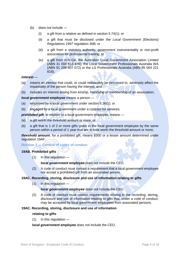- (b) does not include
	- (i) a gift from a relative as defined in section 5.74(1); or
	- (ii) a gift that must be disclosed under the *Local Government (Elections) Regulations 1997* regulation 30B; or
	- (iii) a gift from a statutory authority, government instrumentality or non-profit association for professional training; or
	- (iv) a gift from WALGA, the Australian Local Government Association Limited (ABN 31 008 613 876), the Local Government Professionals Australia WA (ABN 91 208 607 072) or the LG Professionals Australia (ABN 85 004 221 818);

#### *interest* —

- (a) means an interest that could, or could reasonably be perceived to, adversely affect the impartiality of the person having the interest; and
- (b) includes an interest arising from kinship, friendship or membership of an association;

*local government employee* means a person —

- (a) employed by a local government under section 5.36(1); or
- (b) engaged by a local government under a contract for services;

**prohibited gift**, in relation to a local government employee, means —

- (a) a gift worth the threshold amount or more; or
- (b) a gift that is 1 of 2 or more gifts given to the local government employee by the same person within a period of 1 year that are in total worth the threshold amount or more;

*threshold amount*, for a prohibited gift, means \$300 or a lesser amount determined under regulation 19AF.

#### **Division 2 — Content of codes of conduct**

# **19AB. Prohibited gifts**

(1) In this regulation —

#### *local government employee* does not include the CEO.

(2) A code of conduct must contain a requirement that a local government employee not accept a prohibited gift from an associated person.

# **19AC. Recording, storing, disclosure and use of information relating to gifts**

 $(1)$  In this regulation —

# *local government employee* does not include the CEO.

(2) A code of conduct must contain requirements relating to the recording, storing, disclosure and use of information relating to gifts that, under a code of conduct, may be accepted by local government employees from associated persons.

# **19AC. Recording, storing, disclosure and use of information**

## **relating to gifts**

(1) In this regulation —

*local government employee* does not include the CEO.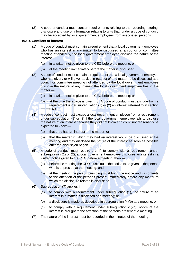(2) A code of conduct must contain requirements relating to the recording, storing, disclosure and use of information relating to gifts that, under a code of conduct, may be accepted by local government employees from associated persons.

## **19AD. Conflicts of interest**

- (1) A code of conduct must contain a requirement that a local government employee who has an interest in any matter to be discussed at a council or committee meeting attended by the local government employee disclose the nature of the interest —
	- (a) in a written notice given to the CEO before the meeting; or
	- (b) at the meeting immediately before the matter is discussed.
- (2) A code of conduct must contain a requirement that a local government employee who has given, or will give, advice in respect of any matter to be discussed at a council or committee meeting not attended by the local government employee disclose the nature of any interest the local government employee has in the matter —
	- (a) in a written notice given to the CEO before the meeting; or
	- (b) at the time the advice is given. (3) A code of conduct must exclude from a requirement under subregulation (1) or (2) an interest referred to in section 5.60.
- (4) A code of conduct must excuse a local government employee from a requirement under subregulation (1) or (2) if the local government employee fails to disclose the nature of an interest because they did not know and could not reasonably be expected to know —
	- (a) that they had an interest in the matter; or
	- (b) that the matter in which they had an interest would be discussed at the meeting and they disclosed the nature of the interest as soon as possible after the discussion began.
- (5) A code of conduct must require that if, to comply with a requirement under subregulation (1) or (2), a local government employee discloses an interest in a written notice given to the CEO before a meeting, then —
	- (a) before the meeting the CEO must cause the notice to be given to the person who is to preside at the meeting; and
	- (b) at the meeting the person presiding must bring the notice and its contents to the attention of the persons present immediately before any matter to which the disclosure relates is discussed.
- (6) Subregulation (7) applies if
	- (a) to comply with a requirement under subregulation (1), the nature of an interest in a matter is disclosed at a meeting; or
	- (b) a disclosure is made as described in subregulation (4)(b) at a meeting; or
	- (c) to comply with a requirement under subregulation (5)(b), notice of the interest is brought to the attention of the persons present at a meeting.
- (7) The nature of the interest must be recorded in the minutes of the meeting.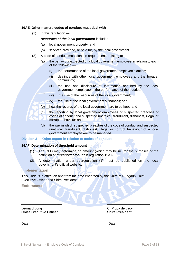## **19AE. Other matters codes of conduct must deal with**

(1) In this regulation —

## *resources of the local government* includes —

- (a) local government property; and
- (b) services provided, or paid for, by the local government.
- (2) A code of conduct must contain requirements relating to
	- (a) the behaviour expected of a local government employee in relation to each of the following —
		- (i) the performance of the local government employee's duties;
		- (ii) dealings with other local government employees and the broader community;
		- (iii) the use and disclosure of information acquired by the local government employee in the performance of their duties;
		- (iv) the use of the resources of the local government;
		- (v) the use of the local government's finances; and
	- (b) how the records of the local government are to be kept; and
	- (c) the reporting by local government employees of suspected breaches of codes of conduct and suspected unethical, fraudulent, dishonest, illegal or corrupt behaviour; and
	- (d) the way in which suspected breaches of the code of conduct and suspected unethical, fraudulent, dishonest, illegal or corrupt behaviour of a local government employee are to be managed.

#### **Division 3 — Other matter in relation to codes of conduct**

#### **19AF. Determination of threshold amount**

- (1) The CEO may determine an amount (which may be nil) for the purposes of the definition of *threshold amount* in regulation 19AA.
- (2) A determination under subregulation (1) must be published on the local government's official website.

#### <span id="page-7-0"></span>**Implementation**

This Code is in effect on and from the date endorsed by the Shire of Nungarin Chief Executive Officer and Shire President.

\_\_\_\_\_\_\_\_\_\_\_\_\_\_\_\_\_\_\_\_\_\_ \_\_\_\_\_\_\_\_\_\_\_\_\_\_\_\_\_\_\_\_\_\_\_

<span id="page-7-1"></span>**Endorsement**

Leonard Long<br> **Cr Pippa de Lacy**<br> **Cr Pippa de Lacy**<br> **Cr Pippa de Lacy**<br> **Cr Pippa de Lacy Chief Executive Officer** 

Date**:** \_\_\_\_\_\_\_\_\_\_\_\_\_\_\_\_\_ Date: \_\_\_\_\_\_\_\_\_\_\_\_\_\_\_\_\_\_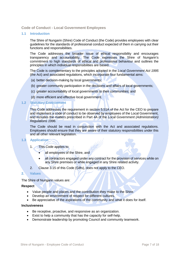# <span id="page-8-0"></span>**Code of Conduct - Local Government Employees**

## <span id="page-8-1"></span>**1.1 Introduction**

The Shire of Nungarin (Shire) Code of Conduct (the Code) provides employees with clear guidelines for the standards of professional conduct expected of them in carrying out their functions and responsibilities.

The Code addresses the broader issue of ethical responsibility and encourages transparency and accountability. The Code expresses the Shire of Nungarin's commitment to high standards of ethical and professional behaviour and outlines the principles in which individual responsibilities are based.

The Code is complementary to the principles adopted in the *Local Government Act 1995* (the Act) and associated regulations, which incorporate four fundamental aims:

- (a) better decision-making by local governments;
- (b) greater community participation in the decisions and affairs of local governments;
- (c) greater accountability of local governments to their communities; and
- (d) more efficient and effective local government.

#### <span id="page-8-2"></span>**1.2 Statutory Environment**

This Code addresses the requirement in section 5.51A of the Act for the CEO to prepare and implement a code of conduct to be observed by employees of the Local Government, and includes the matters prescribed in Part 4A of the *Local Government (Administration) Regulations 1996*.

The Code should be read in conjunction with the Act and associated regulations. Employees should ensure that they are aware of their statutory responsibilities under this and all other relevant legislation.

# <span id="page-8-3"></span>**1.3 Application**

- 1. This Code applies to:
	- all employees of the Shire, and
	- all contractors engaged under any contract for the provision of services while on any Shire premises or while engaged in any Shire related activity.
- 2. Clause 3.15 of this Code (Gifts), does not apply to the CEO.

#### <span id="page-8-4"></span>**2. Values**

The Shire of Nungarin values are:

#### **Respect**

- Value people and places and the contribution they make to the Shire.
- Develop an environment of respect for different cultures.
- Be appreciative of the aspirations of the community and what it does for itself.

#### **Inclusiveness**

- Be receptive, proactive, and responsive as an organization.
- Exist to help a community that has the capacity for self-help.
- Demonstrate leadership by promoting Council and community teamwork.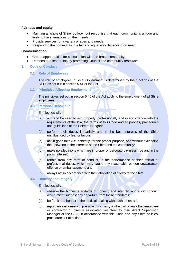# **Fairness and equity**

- Maintain a 'whole of Shire' outlook, but recognise that each community is unique and likely to have variations on their needs.
- Provide services for a variety of ages and needs.
- Respond to the community in a fair and equal way depending on need.

## **Communication**

- Create opportunities for consultation with the broad community.
- Demonstrate leadership by promoting Council and community teamwork.
- <span id="page-9-1"></span><span id="page-9-0"></span>**3. Code of Conduct**

#### **3.1 Role of Employees**

The role of employees in Local Government is determined by the functions of the CEO, as set out in section 5.41 of the Act.

# <span id="page-9-2"></span>**3.2 Principles Affecting Employment**

The principles set out in section 5.40 of the Act apply to the employment of all Shire employees:

# <span id="page-9-3"></span>**3.3 Personal Behaviour**

Employees will:

- (a) act, and be seen to act, properly, professionally and in accordance with the requirements of the law, the terms of this Code and all policies, procedures and guidelines of the Shire of Nungarin;
- (b) perform their duties impartially and in the best interests of the Shire uninfluenced by fear or favour;
- (c) act in good faith (i.e. honestly, for the proper purpose, and without exceeding their powers) in the interests of the Shire and the community;
- (d) make no allegations which are improper or derogatory (unless true and in the public interest);
- (e) refrain from any form of conduct, in the performance of their official or professional duties, which may cause any reasonable person unwarranted offence or embarrassment; and
- (f) always act in accordance with their obligation of fidelity to the Shire.

#### <span id="page-9-4"></span>**3.4 Honesty and Integrity**

Employees will:

- (a) observe the highest standards of honesty and integrity, and avoid conduct which might suggest any departure from these standards;
- (b) be frank and honest in their official dealing with each other; and
- (c) report any dishonesty or possible dishonesty on the part of any other employee or contractor or directly associated volunteer to their direct Supervisor, Manager or the CEO, in accordance with this Code and any Shire policies, procedures or directions.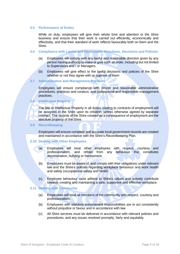## <span id="page-10-0"></span>**3.5 Performance of Duties**

While on duty, employees will give their whole time and attention to the Shire business and ensure that their work is carried out efficiently, economically and effectively, and that their standard of work reflects favourably both on them and the Shire.

#### <span id="page-10-1"></span>**3.6 Compliance with Lawful and Reasonable Directions, Decisions and Policies**

- (a) Employees will comply with any lawful and reasonable direction given by any person having authority to make or give such an order, including but not limited to Supervisors and / or Managers.
- (b) Employees will give effect to the lawful decisions and policies of the Shire whether or not they agree with or approve of them

#### <span id="page-10-2"></span>**3.7 Administrative and Management Practices**

Employees will ensure compliance with proper and reasonable administrative procedures, practices and conduct, and professional and responsible management practices.

# <span id="page-10-3"></span>**3.8 Intellectual Property**

The title to Intellectual Property in all duties relating to contracts of employment will be assigned to the Shire upon its creation, unless otherwise agreed by separate contract. The records of the Shire created as a consequence of employment are the absolute property of the Shire.

#### <span id="page-10-4"></span>**3.9 Recordkeeping**

Employees will ensure complete and accurate local government records are created and maintained in accordance with the Shire's Recordkeeping Plan.

# <span id="page-10-5"></span>**3.10 Dealing with Other Employees**

- (a) Employees will treat other employees with respect, courtesy and professionalism, and refrain from any behaviour that constitutes discrimination, bullying or harassment.
- (b) Employees must be aware of, and comply with their obligations under relevant law and the Shire's policies regarding workplace behaviour and work health and safety (occupational safety and health.
- (c) Employee behaviour must adhere to Shire's values and actively contribute towards creating and maintaining a safe, supportive and effective workplace.

#### <span id="page-10-6"></span>**3.11 Dealing with Community**

- (a) Employees will treat all members of the community with respect, courtesy and professionalism.
- (b) Employees with statutory enforcement responsibilities are to act consistently without prejudice or favour and in accordance with law.
- (c) All Shire services must be delivered in accordance with relevant policies and procedures, and any issues resolved promptly, fairly and equitably.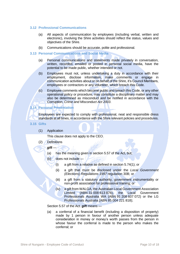# <span id="page-11-0"></span>**3.12 Professional Communications**

- (a) All aspects of communication by employees (including verbal, written and electronic), involving the Shire activities should reflect the status, values and objectives of the Shire.
- (b) Communications should be accurate, polite and professional.

#### <span id="page-11-1"></span>**3.13 Personal Communications and Social Media**

- (a) Personal communications and statements made privately in conversation, written, recorded, emailed or posted in personal social media, have the potential to be made public, whether intended or not.
- (b) Employees must not, unless undertaking a duty in accordance with their employment, disclose information, make comments or engage in communication activities about or on behalf of the Shire, it's Council Members, employees or contractors or any volunteer, which breach this Code.
- (c) Employee comments which become public and breach this Code, or any other operational policy or procedure, may constitute a disciplinary matter and may also be determined as misconduct and be notified in accordance with the *Corruption, Crime and Misconduct Act 2003*.

# <span id="page-11-2"></span>**3.14 Personal Presentation**

Employees are expected to comply with professional, neat and responsible dress standards at all times, in accordance with the Shire relevant policies and procedures.

- <span id="page-11-3"></span>**3.15 Gifts**
	- (1) Application

This clause does not apply to the CEO.

- (2) Definitions
	- *gift* —
	- (a) has the meaning given in section 5.57 of the Act, but;
	- (b) does not include
		- (i) a gift from a relative as defined in section 5.74(1); or
		- (ii) a gift that must be disclosed under the *Local Government (Elections) Regulations 1997* regulation 30B; or
		- (iii) a gift from a statutory authority, government instrumentality or non-profit association for professional training; or
		- (iv) a gift from WALGA, the Australian Local Government Association Limited (ABN 31 008 613 876), the Local Government Professionals Australia WA (ABN 91 208 607 072) or the LG Professionals Australia (ABN 85 004 221 818);

Section 5.57 of the Act. *gift* means —

(a) a conferral of a financial benefit (including a disposition of property) made by 1 person in favour of another person unless adequate consideration in money or money's worth passes from the person in whose favour the conferral is made to the person who makes the conferral; or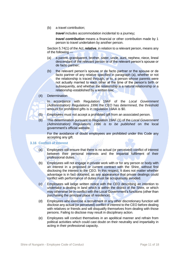(b) a travel contribution;

*travel* includes accommodation incidental to a journey*;*

*travel contribution* means a financial or other contribution made by 1 person to travel undertaken by another person.

Section 5.74(1) of the Act.*relative*, in relation to a relevant person, means any of the following —

- (a) a parent, grandparent, brother, sister, uncle, aunt, nephew, niece, lineal descendant of the relevant person or of the relevant person's spouse or de facto partner;
- (b) the relevant person's spouse or de facto partner or the spouse or de facto partner of any relative specified in paragraph (a), whether or not the relationship is traced through, or to, a person whose parents were not actually married to each other at the time of the person's birth or subsequently, and whether the relationship is a natural relationship or a relationship established by a written law;

#### (4) Determination

In accordance with Regulation 19AF of the *Local Government (Administration) Regulations 1996* the CEO has determined, the threshold amount for prohibited gifts is in regulation 19AA is \$0.

- (5) Employees must not accept a prohibited gift from an associated person.
- (6) This determination pursuant to Regulation 19AF (1) of the *Local Government (Administration)* Regulations 1996 is to be published on the local government's official website.

For the avoidance of doubt employees are prohibited under this Code any accepting any gift.

#### <span id="page-12-0"></span>**3.16 Conflict of Interest**

- (a) Employees will ensure that there is no actual (or perceived) conflict of interest between their personal interests and the impartial fulfilment of their professional duties.
- (b) Employees will not engage in private work with or for any person or body with an interest in a proposed or current contract with the Shire, without first disclosing the interest to the CEO. In this respect, it does not matter whether advantage is in fact obtained, as any appearance that private dealings could conflict with performance of duties must be scrupulously avoided.
- (c) Employees will lodge written notice with the CEO describing an intention to undertake a dealing in land which is within the district of the Shire, or which may otherwise be in conflict with the Local Government's functions (other than purchasing the principal place of residence).
- (d) Employees who exercise a recruitment or any other discretionary function will disclose any actual (or perceived) conflict of interest to the CEO before dealing with relatives or friends and will disqualify themselves from dealing with those persons. Failing to disclose may result in disciplinary action.
- (e) Employees will conduct themselves in an apolitical manner and refrain from political activities which could cast doubt on their neutrality and impartiality in acting in their professional capacity.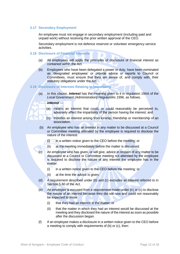# <span id="page-13-0"></span>**3.17 Secondary Employment**

An employee must not engage in secondary employment (including paid and unpaid work) without receiving the prior written approval of the CEO.

Secondary employment is not defence reservist or volunteer emergency service activities.

# <span id="page-13-1"></span>**3.18 Disclosure of Financial Interests**

- (a) All employees will apply the principles of disclosure of financial interest as contained within the Act.
- (b) Employees who have been delegated a power or duty, have been nominated as 'designated employees' or provide advice or reports to Council or Committees, must ensure that they are aware of, and comply with, their statutory obligations under the Act.

#### <span id="page-13-2"></span>**3.19 Disclosure of Interests Relating to Impartiality**

(a) In this clause, *interest* has the meaning given to it in regulation 19AA of the Local Government (Administration) Regulations 1996, as follows.

#### *interest* —

- (a) means an interest that could, or could reasonably be perceived to, adversely affect the impartiality of the person having the interest; and
- (b) includes an interest arising from kinship, friendship or membership of an association.
- (b) An employee who has an interest in any matter to be discussed at a Council or Committee meeting attended by the employee is required to disclose the nature of the interest:
	- $(i)$  in a written notice given to the CEO before the meeting; or
	- (ii) at the meeting immediately before the matter is discussed.
- (c) An employee who has given, or will give, advice in respect of any matter to be discussed at a Council or Committee meeting not attended by the employee is required to disclose the nature of any interest the employee has in the matter:
	- (i) in a written notice given to the CEO before the meeting; or
	- (ii) at the time the advice is given.
- (d) A requirement described under (b) and (c) excludes an interest referred to in Section 5.60 of the Act.
- (e) An employee is excused from a requirement made under (b) or (c) to disclose the nature of an interest because they did not now and could not reasonably be expected to know:
	- (i) that they had an interest in the matter; or
	- (ii) that the matter in which they had an interest would be discussed at the meeting and they disclosed the nature of the interest as soon as possible after the discussion began.
- (f) If an employee makes a disclosure in a written notice given to the CEO before a meeting to comply with requirements of (b) or (c), then: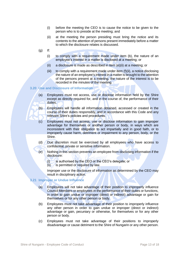- (i) before the meeting the CEO is to cause the notice to be given to the person who is to preside at the meeting; and
- (ii) at the meeting the person presiding must bring the notice and its contents to the attention of persons present immediately before a matter to which the disclosure relates is discussed.
- $(q)$  If:
	- (i) to comply with a requirement made under item (b), the nature of an employee's interest in a matter is disclosed at a meeting; or
	- (ii) a disclosure is made as described in item (e)(ii) at a meeting; or
	- (iii) to comply with a requirement made under item (f)(ii), a notice disclosing the nature of an employee's interest in a matter is brought to the attention of the persons present at a meeting, the nature of the interest is to be recorded in the minutes of the meeting.

#### <span id="page-14-0"></span>**3.20 Use and Disclosure of Information**

- (a) Employees must not access, use or disclose information held by the Shire except as directly required for, and in the course of, the performance of their duties.
- (b) Employees will handle all information obtained, accessed or created in the course of their duties responsibly, and in accordance with this Code and any relevant Shire's policies and procedures.
- (c) Employees must not access, use or disclose information to gain improper advantage for themselves or another person or body, in ways which are inconsistent with their obligation to act impartially and in good faith, or to improperly cause harm, detriment or impairment to any person, body, or the Shire.
- (d) Due discretion must be exercised by all employees who have access to confidential, private or sensitive information.
- (e) Nothing in this section prevents an employee from disclosing information if the disclosure:
	- (i) is authorised by the CEO or the CEO's delegate; or
	- $(ii)$  is permitted or required by law.

Improper use or the disclosure of information as determined by the CEO may result in disciplinary action.

#### <span id="page-14-1"></span>**3.21 Improper or Undue Influence**

- (a) Employees will not take advantage of their position to improperly influence Council Members or employees in the performance of their duties or functions, in order to gain undue or improper (direct or indirect) advantage or gain for themselves or for any other person or body.
- (b) Employees must not take advantage of their position to improperly influence any other person in order to gain undue or improper (direct or indirect) advantage or gain, pecuniary or otherwise, for themselves or for any other person or body.
- (c) Employees must not take advantage of their positions to improperly disadvantage or cause detriment to the Shire of Nungarin or any other person.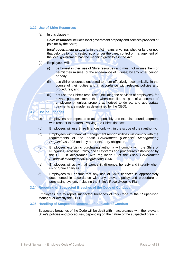#### <span id="page-15-0"></span>**3.22 Use of Shire Resources**

(a) In this clause  $-$ 

**Shire resources** includes local government property and services provided or paid for by the Shire;

*local government property,* in the Act means anything, whether land or not, that belongs to, or is vested in, or under the care, control or management of, the local government has the meaning given to it in the Act.

- (b) Employees will:
	- (i) be honest in their use of Shire resources and must not misuse them or permit their misuse (or the appearance of misuse) by any other person or body;
	- (ii) use Shire resources entrusted to them effectively, economically, in the course of their duties and in accordance with relevant policies and procedures; and
	- (iii) not use the Shire's resources (including the services of employees) for private purposes (other than when supplied as part of a contract of employment), unless properly authorised to do so, and appropriate payments are made (as determined by the CEO).

# <span id="page-15-1"></span>**3.23 Use of Finances**

- (a) Employees are expected to act responsibly and exercise sound judgment with respect to matters involving the Shires finances.
- (b) Employees will use Shire finances only within the scope of their authority.
- (c) Employees with financial management responsibilities will comply with the requirements of the *Local Government (Financial Management) Regulations 1996* and any other statutory obligation.
- (d) Employees exercising purchasing authority will comply with the Shire of Nungarin Purchasing Policy, and all systems and procedures established by the CEO in accordance with regulation 5 of the *Local Government (Financial Management) Regulations 1996.*
- (e) Employees will act with all care, skill, diligence, honesty and integrity when using Shire finances.
- (f) Employees will ensure that any use of Shire finances is appropriately documented in accordance with any relevant policy and procedure or purchasing system, including the Shire's Recordkeeping Plan.

## <span id="page-15-2"></span>**3.24 Reporting of Suspected Breaches of the Code of Conduct**

Employees are to report suspected breaches of this Code to their Supervisor, Manager or directly the CEO.

## <span id="page-15-3"></span>**3.25 Handling of Suspected Breaches of the Code of Conduct**

Suspected breaches of the Code will be dealt with in accordance with the relevant Shire's policies and procedures, depending on the nature of the suspected breach.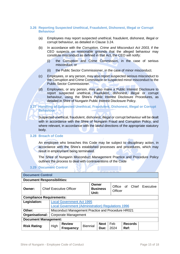# <span id="page-16-0"></span>**3.26 Reporting Suspected Unethical, Fraudulent, Dishonest, Illegal or Corrupt Behaviour**

- (a) Employees may report suspected unethical, fraudulent, dishonest, illegal or corrupt behaviour, as detailed in Clause 3.24.
- (b) In accordance with the *Corruption, Crime and Misconduct Act 2003,* if the CEO suspects on reasonable grounds that the alleged behaviour may constitute misconduct as defined in that Act, the CEO will notify:
	- (i) the Corruption and Crime Commission, in the case of serious misconduct; or
	- (ii) the Public Sector Commissioner, in the case of minor misconduct.
- (c) Employees, or any person, may also report suspected serious misconduct to the Corruption and Crime Commission or suspected minor misconduct to the Public Sector Commissioner.
- (d) Employees, or any person, may also make a Public Interest Disclosure to report suspected unethical, fraudulent, dishonest, illegal or corrupt behaviour, using the Shire's Public Interest Disclosure Procedures, as detailed in Shire of Nungarin Public Interest Disclosure Policy.

# <span id="page-16-1"></span>**3.27 Handling of Suspected Unethical, Fraudulent, Dishonest, Illegal or Corrupt Behaviour**

Suspected unethical, fraudulent, dishonest, illegal or corrupt behaviour will be dealt with in accordance with the Shire of Nungarin Fraud and Corruption Policy, and where relevant, in accordance with the lawful directions of the appropriate statutory body.

#### <span id="page-16-2"></span>**3.28 Breach of Code**

An employee who breaches this Code may be subject to disciplinary action, in accordance with the Shire's established processes and procedures, which may result in employment being terminated.

The Shire of Nungarin Misconduct Management Practice and Procedure Policy outlines the process to deal with contraventions of the Code

# **3.29 Document Control**

<span id="page-16-3"></span>

| <b>Document Control</b>           |                                |                                                           |                             |                 |                     |                      |      |                |                 |  |
|-----------------------------------|--------------------------------|-----------------------------------------------------------|-----------------------------|-----------------|---------------------|----------------------|------|----------------|-----------------|--|
| <b>Document Responsibilities:</b> |                                |                                                           |                             |                 |                     |                      |      |                |                 |  |
| Owner:                            | <b>Chief Executive Officer</b> |                                                           |                             | Owner<br>Unit:  | <b>Business</b>     | Office of<br>Officer |      |                | Chief Executive |  |
| <b>Compliance Requirements:</b>   |                                |                                                           |                             |                 |                     |                      |      |                |                 |  |
| Legislation:                      |                                | <b>Local Government Act 1995</b>                          |                             |                 |                     |                      |      |                |                 |  |
|                                   |                                | <b>Local Government (Administration) Regulations 1996</b> |                             |                 |                     |                      |      |                |                 |  |
| Other:                            |                                | Misconduct Management Practice and Procedure HR021        |                             |                 |                     |                      |      |                |                 |  |
| Organisational:                   |                                | <b>Corporate Management</b>                               |                             |                 |                     |                      |      |                |                 |  |
| <b>Document Management:</b>       |                                |                                                           |                             |                 |                     |                      |      |                |                 |  |
| <b>Risk Rating:</b>               |                                | High                                                      | <b>Review</b><br>Frequency: | <b>Biennial</b> | <b>Next</b><br>Due: | Feb<br>2024          | Ref: | <b>Records</b> |                 |  |